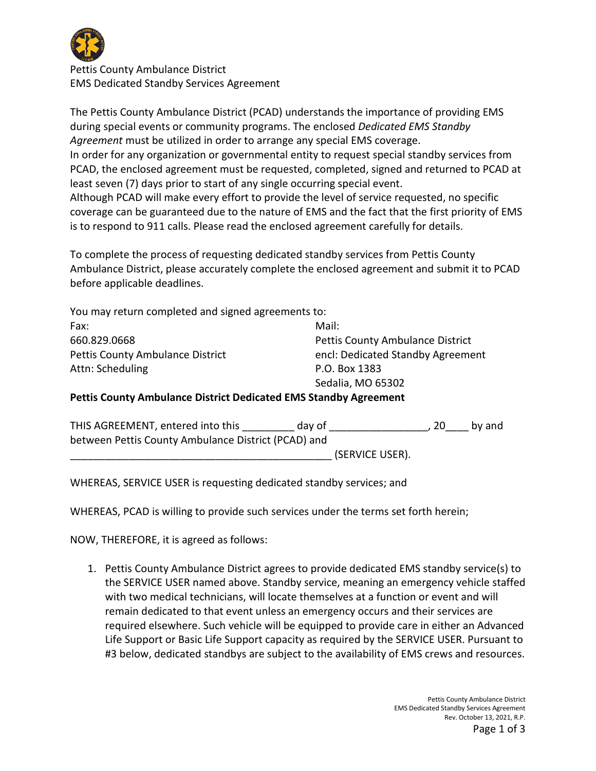

Pettis County Ambulance District EMS Dedicated Standby Services Agreement

The Pettis County Ambulance District (PCAD) understands the importance of providing EMS during special events or community programs. The enclosed *Dedicated EMS Standby Agreement* must be utilized in order to arrange any special EMS coverage. In order for any organization or governmental entity to request special standby services from PCAD, the enclosed agreement must be requested, completed, signed and returned to PCAD at least seven (7) days prior to start of any single occurring special event. Although PCAD will make every effort to provide the level of service requested, no specific coverage can be guaranteed due to the nature of EMS and the fact that the first priority of EMS

To complete the process of requesting dedicated standby services from Pettis County Ambulance District, please accurately complete the enclosed agreement and submit it to PCAD before applicable deadlines.

is to respond to 911 calls. Please read the enclosed agreement carefully for details.

| You may return completed and signed agreements to:                      |                                         |  |  |  |
|-------------------------------------------------------------------------|-----------------------------------------|--|--|--|
| Fax:                                                                    | Mail:                                   |  |  |  |
| 660.829.0668                                                            | <b>Pettis County Ambulance District</b> |  |  |  |
| <b>Pettis County Ambulance District</b>                                 | encl: Dedicated Standby Agreement       |  |  |  |
| Attn: Scheduling                                                        | P.O. Box 1383                           |  |  |  |
|                                                                         | Sedalia, MO 65302                       |  |  |  |
| <b>Pettis County Ambulance District Dedicated EMS Standby Agreement</b> |                                         |  |  |  |

| THIS AGREEMENT, entered into this                   | day of |                 | -20 | by and |
|-----------------------------------------------------|--------|-----------------|-----|--------|
| between Pettis County Ambulance District (PCAD) and |        |                 |     |        |
|                                                     |        | (SERVICE USER). |     |        |

WHEREAS, SERVICE USER is requesting dedicated standby services; and

WHEREAS, PCAD is willing to provide such services under the terms set forth herein;

NOW, THEREFORE, it is agreed as follows:

1. Pettis County Ambulance District agrees to provide dedicated EMS standby service(s) to the SERVICE USER named above. Standby service, meaning an emergency vehicle staffed with two medical technicians, will locate themselves at a function or event and will remain dedicated to that event unless an emergency occurs and their services are required elsewhere. Such vehicle will be equipped to provide care in either an Advanced Life Support or Basic Life Support capacity as required by the SERVICE USER. Pursuant to #3 below, dedicated standbys are subject to the availability of EMS crews and resources.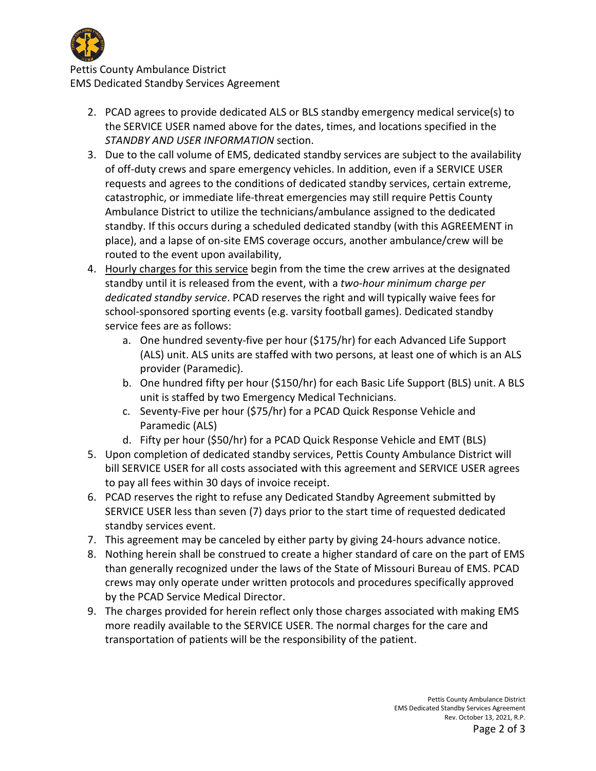

Pettis County Ambulance District EMS Dedicated Standby Services Agreement

- 2. PCAD agrees to provide dedicated ALS or BLS standby emergency medical service(s) to the SERVICE USER named above for the dates, times, and locations specified in the *STANDBY AND USER INFORMATION* section.
- 3. Due to the call volume of EMS, dedicated standby services are subject to the availability of off-duty crews and spare emergency vehicles. In addition, even if a SERVICE USER requests and agrees to the conditions of dedicated standby services, certain extreme, catastrophic, or immediate life-threat emergencies may still require Pettis County Ambulance District to utilize the technicians/ambulance assigned to the dedicated standby. If this occurs during a scheduled dedicated standby (with this AGREEMENT in place), and a lapse of on-site EMS coverage occurs, another ambulance/crew will be routed to the event upon availability,
- 4. Hourly charges for this service begin from the time the crew arrives at the designated standby until it is released from the event, with a *two-hour minimum charge per dedicated standby service*. PCAD reserves the right and will typically waive fees for school-sponsored sporting events (e.g. varsity football games). Dedicated standby service fees are as follows:
	- a. One hundred seventy-five per hour (\$175/hr) for each Advanced Life Support (ALS) unit. ALS units are staffed with two persons, at least one of which is an ALS provider (Paramedic).
	- b. One hundred fifty per hour (\$150/hr) for each Basic Life Support (BLS) unit. A BLS unit is staffed by two Emergency Medical Technicians.
	- c. Seventy-Five per hour (\$75/hr) for a PCAD Quick Response Vehicle and Paramedic (ALS)
	- d. Fifty per hour (\$50/hr) for a PCAD Quick Response Vehicle and EMT (BLS)
- 5. Upon completion of dedicated standby services, Pettis County Ambulance District will bill SERVICE USER for all costs associated with this agreement and SERVICE USER agrees to pay all fees within 30 days of invoice receipt.
- 6. PCAD reserves the right to refuse any Dedicated Standby Agreement submitted by SERVICE USER less than seven (7) days prior to the start time of requested dedicated standby services event.
- 7. This agreement may be canceled by either party by giving 24-hours advance notice.
- 8. Nothing herein shall be construed to create a higher standard of care on the part of EMS than generally recognized under the laws of the State of Missouri Bureau of EMS. PCAD crews may only operate under written protocols and procedures specifically approved by the PCAD Service Medical Director.
- 9. The charges provided for herein reflect only those charges associated with making EMS more readily available to the SERVICE USER. The normal charges for the care and transportation of patients will be the responsibility of the patient.